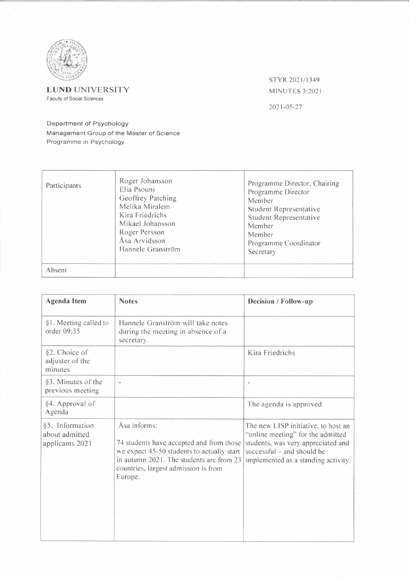

**LUND** UNIVERSITY

Faculty of Social Sciences

STYR 2021/1349 MINUTES 3:2021

2021-05-27

## Department of Psychology

Management Group of the Master of Science Programme in Psychology

| Participants | Roger Johansson<br>Elia Psouni<br>Geoffrey Patching<br>Melika Miralem<br>Kira Friedrichs<br>Mikael Johansson<br>Roger Persson<br>Åsa Arvidsson<br>Hannele Granström | Programme Director, Chairing<br>Programme Director<br>Member<br>Student Representative<br>Student Representative<br>Member<br>Member<br>Programme Coordinator<br>Secretary |
|--------------|---------------------------------------------------------------------------------------------------------------------------------------------------------------------|----------------------------------------------------------------------------------------------------------------------------------------------------------------------------|
| Absent       |                                                                                                                                                                     |                                                                                                                                                                            |

| <b>Agenda</b> Item                                   | <b>Notes</b>                                                                                                                                                                                          | Decision / Follow-up                                                                                                                                                                |
|------------------------------------------------------|-------------------------------------------------------------------------------------------------------------------------------------------------------------------------------------------------------|-------------------------------------------------------------------------------------------------------------------------------------------------------------------------------------|
| §1. Meeting called to<br>order 09:35                 | Hannele Granström will take notes<br>during the meeting in absence of a<br>secretary.                                                                                                                 |                                                                                                                                                                                     |
| §2. Choice of<br>adjuster of the<br>minutes          |                                                                                                                                                                                                       | Kira Friedrichs                                                                                                                                                                     |
| §3. Minutes of the<br>previous meeting               | $\ddot{}$                                                                                                                                                                                             | $\bar{a}$                                                                                                                                                                           |
| §4. Approval of<br>Agenda                            |                                                                                                                                                                                                       | The agenda is approved                                                                                                                                                              |
| §5. Information<br>about admitted<br>applicants 2021 | Åsa informs:<br>74 students have accepted and from those<br>we expect 45-50 students to actually start<br>in autumn 2021. The students are from 23<br>countries, largest admission is from<br>Europe. | The new LISP initiative, to host an<br>"online meeting" for the admitted<br>students, was very appreciated and<br>successful - and should be<br>implemented as a standing activity. |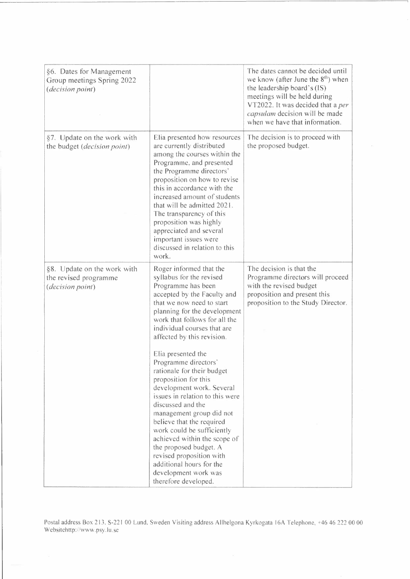| §6. Dates for Management<br>Group meetings Spring 2022<br>(decision point) |                                                                                                                                                                                                                                                                                                                                                                                                                                                | The dates cannot be decided until<br>we know (after June the $8th$ ) when<br>the leadership board's (IS)<br>meetings will be held during<br>VT2022. It was decided that a per<br>capsulam decision will be made<br>when we have that information. |
|----------------------------------------------------------------------------|------------------------------------------------------------------------------------------------------------------------------------------------------------------------------------------------------------------------------------------------------------------------------------------------------------------------------------------------------------------------------------------------------------------------------------------------|---------------------------------------------------------------------------------------------------------------------------------------------------------------------------------------------------------------------------------------------------|
| §7. Update on the work with<br>the budget (decision point)                 | Elia presented how resources<br>are currently distributed<br>among the courses within the<br>Programme, and presented<br>the Programme directors'<br>proposition on how to revise<br>this in accordance with the<br>increased amount of students<br>that will be admitted 2021.<br>The transparency of this<br>proposition was highly<br>appreciated and several<br>important issues were<br>discussed in relation to this<br>work.            | The decision is to proceed with<br>the proposed budget.                                                                                                                                                                                           |
| §8. Update on the work with<br>the revised programme<br>(decision point)   | Roger informed that the<br>syllabus for the revised<br>Programme has been<br>accepted by the Faculty and<br>that we now need to start<br>planning for the development<br>work that follows for all the<br>individual courses that are<br>affected by this revision.                                                                                                                                                                            | The decision is that the<br>Programme directors will proceed<br>with the revised budget<br>proposition and present this<br>proposition to the Study Director.                                                                                     |
|                                                                            | Elia presented the<br>Programme directors'<br>rationale for their budget<br>proposition for this<br>development work. Several<br>issues in relation to this were<br>discussed and the<br>management group did not<br>believe that the required<br>work could be sufficiently<br>achieved within the scope of<br>the proposed budget. A<br>revised proposition with<br>additional hours for the<br>development work was<br>therefore developed. |                                                                                                                                                                                                                                                   |

Postal address Box 213, S-221 00 Lund, Sweden Visiting address Allhelgona Kyrkogata 16A Telephone, +46 46 222 00 00 Websitehttp://www.psy.lu.se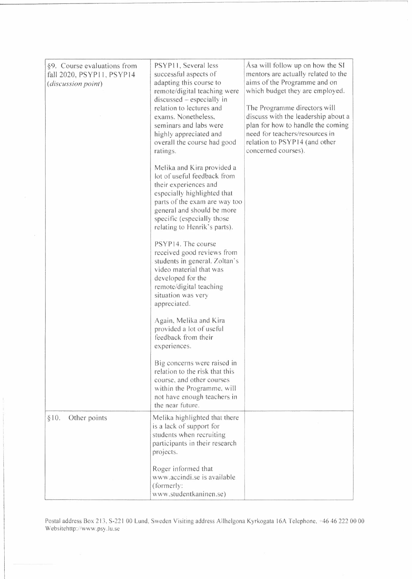| §9. Course evaluations from<br>fall 2020, PSYP11, PSYP14<br>(discussion point) | PSYP11, Several less<br>successful aspects of<br>adapting this course to<br>remote/digital teaching were<br>$discussed - especially in$<br>relation to lectures and<br>exams. Nonetheless.<br>seminars and labs were<br>highly appreciated and<br>overall the course had good<br>ratings. | Asa will follow up on how the SI<br>mentors are actually related to the<br>aims of the Programme and on<br>which budget they are employed.<br>The Programme directors will<br>discuss with the leadership about a<br>plan for how to handle the coming<br>need for teachers/resources in<br>relation to PSYP14 (and other<br>concerned courses). |
|--------------------------------------------------------------------------------|-------------------------------------------------------------------------------------------------------------------------------------------------------------------------------------------------------------------------------------------------------------------------------------------|--------------------------------------------------------------------------------------------------------------------------------------------------------------------------------------------------------------------------------------------------------------------------------------------------------------------------------------------------|
|                                                                                | Melika and Kira provided a<br>lot of useful feedback from<br>their experiences and<br>especially highlighted that<br>parts of the exam are way too<br>general and should be more<br>specific (especially those<br>relating to Henrik's parts).                                            |                                                                                                                                                                                                                                                                                                                                                  |
|                                                                                | PSYP14. The course<br>received good reviews from<br>students in general. Zoltan's<br>video material that was<br>developed for the<br>remote/digital teaching<br>situation was very<br>appreciated.                                                                                        |                                                                                                                                                                                                                                                                                                                                                  |
|                                                                                | Again, Melika and Kira<br>provided a lot of useful<br>feedback from their<br>experiences.                                                                                                                                                                                                 |                                                                                                                                                                                                                                                                                                                                                  |
|                                                                                | Big concerns were raised in<br>relation to the risk that this<br>course, and other courses<br>within the Programme, will<br>not have enough teachers in<br>the near future.                                                                                                               |                                                                                                                                                                                                                                                                                                                                                  |
| Other points<br>§10.                                                           | Melika highlighted that there<br>is a lack of support for<br>students when recruiting<br>participants in their research<br>projects.                                                                                                                                                      |                                                                                                                                                                                                                                                                                                                                                  |
|                                                                                | Roger informed that<br>www.accindi.se is available<br>(formerly:<br>www.studentkaninen.se)                                                                                                                                                                                                |                                                                                                                                                                                                                                                                                                                                                  |

Postal address Box 213, S-221 00 Lund, Sweden Visiting address Allhelgona Kyrkogata 16A Telephone, +46 46 222 00 00 Websitehttp://www.psy.lu.se